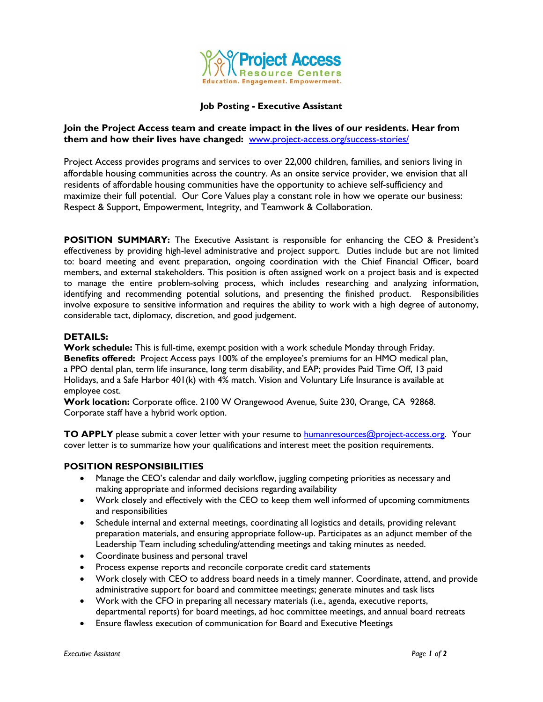

### **Job Posting - Executive Assistant**

## **Join the Project Access team and create impact in the lives of our residents. Hear from them and how their lives have changed:** [www.project-access.org/success-stories/](http://www.project-access.org/success-stories/)

Project Access provides programs and services to over 22,000 children, families, and seniors living in affordable housing communities across the country. As an onsite service provider, we envision that all residents of affordable housing communities have the opportunity to achieve self-sufficiency and maximize their full potential. Our Core Values play a constant role in how we operate our business: Respect & Support, Empowerment, Integrity, and Teamwork & Collaboration.

**POSITION SUMMARY:** The Executive Assistant is responsible for enhancing the CEO & President's effectiveness by providing high-level administrative and project support. Duties include but are not limited to: board meeting and event preparation, ongoing coordination with the Chief Financial Officer, board members, and external stakeholders. This position is often assigned work on a project basis and is expected to manage the entire problem-solving process, which includes researching and analyzing information, identifying and recommending potential solutions, and presenting the finished product. Responsibilities involve exposure to sensitive information and requires the ability to work with a high degree of autonomy, considerable tact, diplomacy, discretion, and good judgement.

## **DETAILS:**

**Work schedule:** This is full-time, exempt position with a work schedule Monday through Friday. **Benefits offered:** Project Access pays 100% of the employee's premiums for an HMO medical plan, a PPO dental plan, term life insurance, long term disability, and EAP; provides Paid Time Off, 13 paid Holidays, and a Safe Harbor 401(k) with 4% match. Vision and Voluntary Life Insurance is available at employee cost.

**Work location:** Corporate office. 2100 W Orangewood Avenue, Suite 230, Orange, CA 92868. Corporate staff have a hybrid work option.

**TO APPLY** please submit a cover letter with your resume to **humanresources@project-access.org.** Your cover letter is to summarize how your qualifications and interest meet the position requirements.

#### **POSITION RESPONSIBILITIES**

- Manage the CEO's calendar and daily workflow, juggling competing priorities as necessary and making appropriate and informed decisions regarding availability
- Work closely and effectively with the CEO to keep them well informed of upcoming commitments and responsibilities
- Schedule internal and external meetings, coordinating all logistics and details, providing relevant preparation materials, and ensuring appropriate follow-up. Participates as an adjunct member of the Leadership Team including scheduling/attending meetings and taking minutes as needed.
- Coordinate business and personal travel
- Process expense reports and reconcile corporate credit card statements
- Work closely with CEO to address board needs in a timely manner. Coordinate, attend, and provide administrative support for board and committee meetings; generate minutes and task lists
- Work with the CFO in preparing all necessary materials (i.e., agenda, executive reports, departmental reports) for board meetings, ad hoc committee meetings, and annual board retreats
- Ensure flawless execution of communication for Board and Executive Meetings